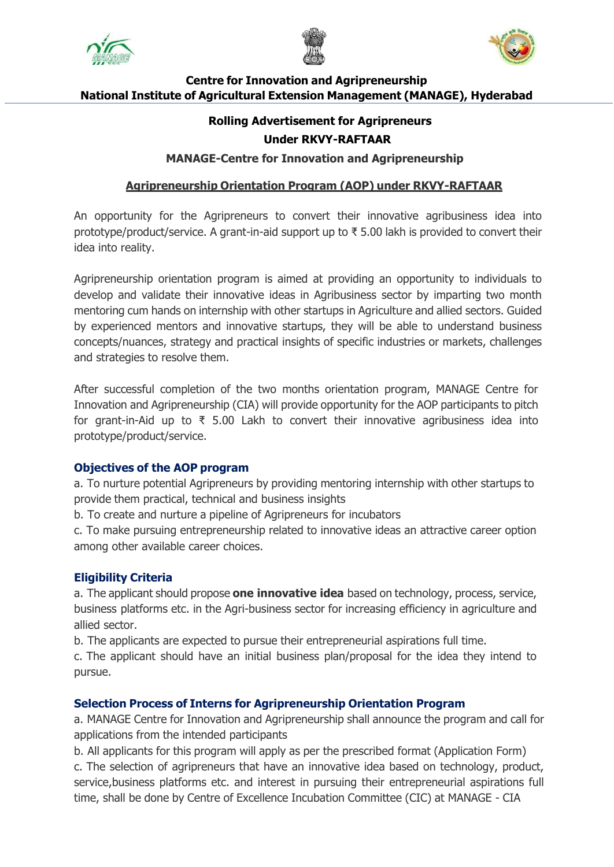





# **Centre for Innovation and Agripreneurship National Institute of Agricultural Extension Management (MANAGE), Hyderabad**

# **Rolling Advertisement for Agripreneurs**

## **Under RKVY-RAFTAAR**

**MANAGE-Centre for Innovation and Agripreneurship**

## **Agripreneurship Orientation Program (AOP) under RKVY-RAFTAAR**

An opportunity for the Agripreneurs to convert their innovative agribusiness idea into prototype/product/service. A grant-in-aid support up to ₹ 5.00 lakh is provided to convert their idea into reality.

Agripreneurship orientation program is aimed at providing an opportunity to individuals to develop and validate their innovative ideas in Agribusiness sector by imparting two month mentoring cum hands on internship with other startups in Agriculture and allied sectors. Guided by experienced mentors and innovative startups, they will be able to understand business concepts/nuances, strategy and practical insights of specific industries or markets, challenges and strategies to resolve them.

After successful completion of the two months orientation program, MANAGE Centre for Innovation and Agripreneurship (CIA) will provide opportunity for the AOP participants to pitch for grant-in-Aid up to ₹ 5.00 Lakh to convert their innovative agribusiness idea into prototype/product/service.

## **Objectives of the AOP program**

a. To nurture potential Agripreneurs by providing mentoring internship with other startups to provide them practical, technical and business insights

b. To create and nurture a pipeline of Agripreneurs for incubators

c. To make pursuing entrepreneurship related to innovative ideas an attractive career option among other available career choices.

## **Eligibility Criteria**

a. The applicant should propose **one innovative idea** based on technology, process, service, business platforms etc. in the Agri-business sector for increasing efficiency in agriculture and allied sector.

b. The applicants are expected to pursue their entrepreneurial aspirations full time.

c. The applicant should have an initial business plan/proposal for the idea they intend to pursue.

## **Selection Process of Interns for Agripreneurship Orientation Program**

a. MANAGE Centre for Innovation and Agripreneurship shall announce the program and call for applications from the intended participants

b. All applicants for this program will apply as per the prescribed format (Application Form) c. The selection of agripreneurs that have an innovative idea based on technology, product, service,business platforms etc. and interest in pursuing their entrepreneurial aspirations full time, shall be done by Centre of Excellence Incubation Committee (CIC) at MANAGE - CIA